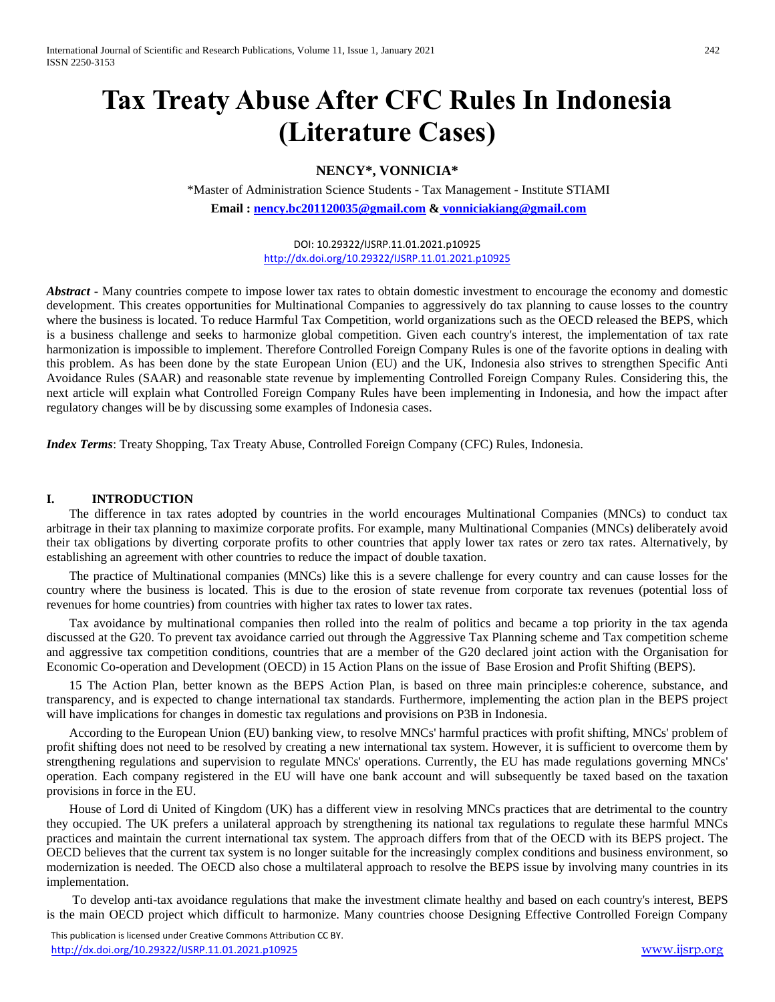# **Tax Treaty Abuse After CFC Rules In Indonesia (Literature Cases)**

# **NENCY\*, VONNICIA\***

\*Master of Administration Science Students - Tax Management - Institute STIAMI **Email [: nency.bc201120035@gmail.com](mailto:nency.bc201120035@gmail.com) & vonniciakiang@gmail.com**

> DOI: 10.29322/IJSRP.11.01.2021.p10925 <http://dx.doi.org/10.29322/IJSRP.11.01.2021.p10925>

*Abstract* **-** Many countries compete to impose lower tax rates to obtain domestic investment to encourage the economy and domestic development. This creates opportunities for Multinational Companies to aggressively do tax planning to cause losses to the country where the business is located. To reduce Harmful Tax Competition, world organizations such as the OECD released the BEPS, which is a business challenge and seeks to harmonize global competition. Given each country's interest, the implementation of tax rate harmonization is impossible to implement. Therefore Controlled Foreign Company Rules is one of the favorite options in dealing with this problem. As has been done by the state European Union (EU) and the UK, Indonesia also strives to strengthen Specific Anti Avoidance Rules (SAAR) and reasonable state revenue by implementing Controlled Foreign Company Rules. Considering this, the next article will explain what Controlled Foreign Company Rules have been implementing in Indonesia, and how the impact after regulatory changes will be by discussing some examples of Indonesia cases.

*Index Terms*: Treaty Shopping, Tax Treaty Abuse, Controlled Foreign Company (CFC) Rules, Indonesia.

# **I. INTRODUCTION**

The difference in tax rates adopted by countries in the world encourages Multinational Companies (MNCs) to conduct tax arbitrage in their tax planning to maximize corporate profits. For example, many Multinational Companies (MNCs) deliberately avoid their tax obligations by diverting corporate profits to other countries that apply lower tax rates or zero tax rates. Alternatively, by establishing an agreement with other countries to reduce the impact of double taxation.

The practice of Multinational companies (MNCs) like this is a severe challenge for every country and can cause losses for the country where the business is located. This is due to the erosion of state revenue from corporate tax revenues (potential loss of revenues for home countries) from countries with higher tax rates to lower tax rates.

Tax avoidance by multinational companies then rolled into the realm of politics and became a top priority in the tax agenda discussed at the G20. To prevent tax avoidance carried out through the Aggressive Tax Planning scheme and Tax competition scheme and aggressive tax competition conditions, countries that are a member of the G20 declared joint action with the Organisation for Economic Co-operation and Development (OECD) in 15 Action Plans on the issue of Base Erosion and Profit Shifting (BEPS).

15 The Action Plan, better known as the BEPS Action Plan, is based on three main principles:e coherence, substance, and transparency, and is expected to change international tax standards. Furthermore, implementing the action plan in the BEPS project will have implications for changes in domestic tax regulations and provisions on P3B in Indonesia.

According to the European Union (EU) banking view, to resolve MNCs' harmful practices with profit shifting, MNCs' problem of profit shifting does not need to be resolved by creating a new international tax system. However, it is sufficient to overcome them by strengthening regulations and supervision to regulate MNCs' operations. Currently, the EU has made regulations governing MNCs' operation. Each company registered in the EU will have one bank account and will subsequently be taxed based on the taxation provisions in force in the EU.

House of Lord di United of Kingdom (UK) has a different view in resolving MNCs practices that are detrimental to the country they occupied. The UK prefers a unilateral approach by strengthening its national tax regulations to regulate these harmful MNCs practices and maintain the current international tax system. The approach differs from that of the OECD with its BEPS project. The OECD believes that the current tax system is no longer suitable for the increasingly complex conditions and business environment, so modernization is needed. The OECD also chose a multilateral approach to resolve the BEPS issue by involving many countries in its implementation.

To develop anti-tax avoidance regulations that make the investment climate healthy and based on each country's interest, BEPS is the main OECD project which difficult to harmonize. Many countries choose Designing Effective Controlled Foreign Company

 This publication is licensed under Creative Commons Attribution CC BY. <http://dx.doi.org/10.29322/IJSRP.11.01.2021.p10925> [www.ijsrp.org](http://ijsrp.org/)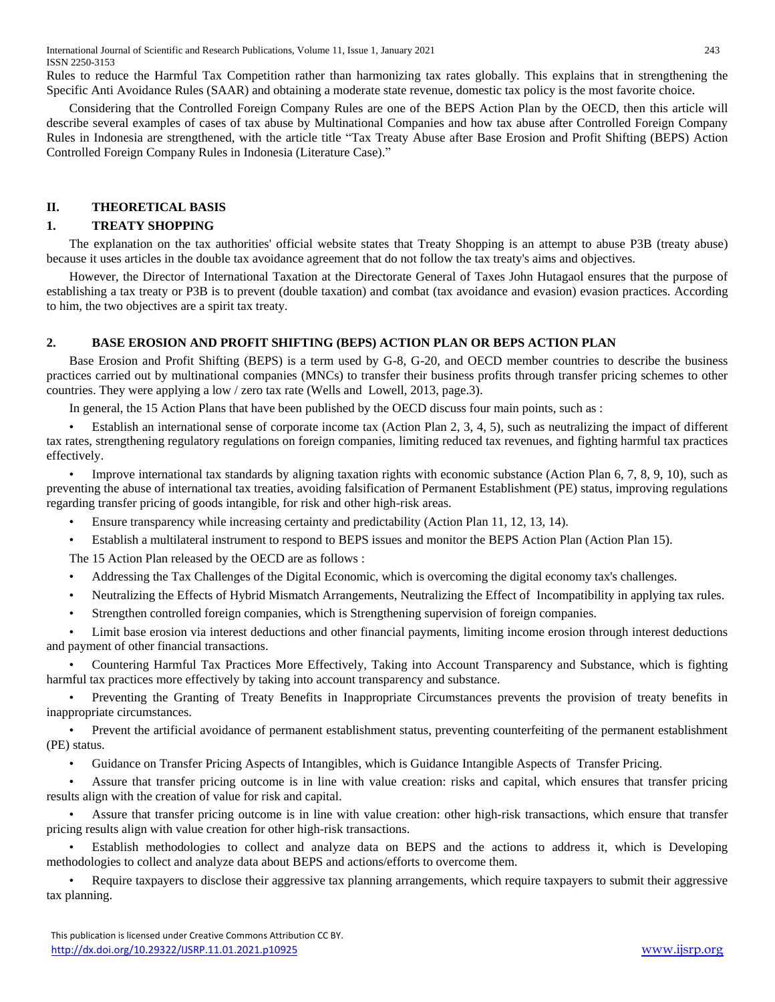International Journal of Scientific and Research Publications, Volume 11, Issue 1, January 2021 243 ISSN 2250-3153

Rules to reduce the Harmful Tax Competition rather than harmonizing tax rates globally. This explains that in strengthening the Specific Anti Avoidance Rules (SAAR) and obtaining a moderate state revenue, domestic tax policy is the most favorite choice.

Considering that the Controlled Foreign Company Rules are one of the BEPS Action Plan by the OECD, then this article will describe several examples of cases of tax abuse by Multinational Companies and how tax abuse after Controlled Foreign Company Rules in Indonesia are strengthened, with the article title "Tax Treaty Abuse after Base Erosion and Profit Shifting (BEPS) Action Controlled Foreign Company Rules in Indonesia (Literature Case)."

## **II. THEORETICAL BASIS**

#### **1. TREATY SHOPPING**

The explanation on the tax authorities' official website states that Treaty Shopping is an attempt to abuse P3B (treaty abuse) because it uses articles in the double tax avoidance agreement that do not follow the tax treaty's aims and objectives.

However, the Director of International Taxation at the Directorate General of Taxes John Hutagaol ensures that the purpose of establishing a tax treaty or P3B is to prevent (double taxation) and combat (tax avoidance and evasion) evasion practices. According to him, the two objectives are a spirit tax treaty.

#### **2. BASE EROSION AND PROFIT SHIFTING (BEPS) ACTION PLAN OR BEPS ACTION PLAN**

Base Erosion and Profit Shifting (BEPS) is a term used by G-8, G-20, and OECD member countries to describe the business practices carried out by multinational companies (MNCs) to transfer their business profits through transfer pricing schemes to other countries. They were applying a low / zero tax rate (Wells and Lowell, 2013, page.3).

In general, the 15 Action Plans that have been published by the OECD discuss four main points, such as :

• Establish an international sense of corporate income tax (Action Plan 2, 3, 4, 5), such as neutralizing the impact of different tax rates, strengthening regulatory regulations on foreign companies, limiting reduced tax revenues, and fighting harmful tax practices effectively.

Improve international tax standards by aligning taxation rights with economic substance (Action Plan 6, 7, 8, 9, 10), such as preventing the abuse of international tax treaties, avoiding falsification of Permanent Establishment (PE) status, improving regulations regarding transfer pricing of goods intangible, for risk and other high-risk areas.

• Ensure transparency while increasing certainty and predictability (Action Plan 11, 12, 13, 14).

• Establish a multilateral instrument to respond to BEPS issues and monitor the BEPS Action Plan (Action Plan 15).

The 15 Action Plan released by the OECD are as follows :

• Addressing the Tax Challenges of the Digital Economic, which is overcoming the digital economy tax's challenges.

- Neutralizing the Effects of Hybrid Mismatch Arrangements, Neutralizing the Effect of Incompatibility in applying tax rules.
- Strengthen controlled foreign companies, which is Strengthening supervision of foreign companies.

• Limit base erosion via interest deductions and other financial payments, limiting income erosion through interest deductions and payment of other financial transactions.

• Countering Harmful Tax Practices More Effectively, Taking into Account Transparency and Substance, which is fighting harmful tax practices more effectively by taking into account transparency and substance.

• Preventing the Granting of Treaty Benefits in Inappropriate Circumstances prevents the provision of treaty benefits in inappropriate circumstances.

• Prevent the artificial avoidance of permanent establishment status, preventing counterfeiting of the permanent establishment (PE) status.

• Guidance on Transfer Pricing Aspects of Intangibles, which is Guidance Intangible Aspects of Transfer Pricing.

• Assure that transfer pricing outcome is in line with value creation: risks and capital, which ensures that transfer pricing results align with the creation of value for risk and capital.

• Assure that transfer pricing outcome is in line with value creation: other high-risk transactions, which ensure that transfer pricing results align with value creation for other high-risk transactions.

• Establish methodologies to collect and analyze data on BEPS and the actions to address it, which is Developing methodologies to collect and analyze data about BEPS and actions/efforts to overcome them.

• Require taxpayers to disclose their aggressive tax planning arrangements, which require taxpayers to submit their aggressive tax planning.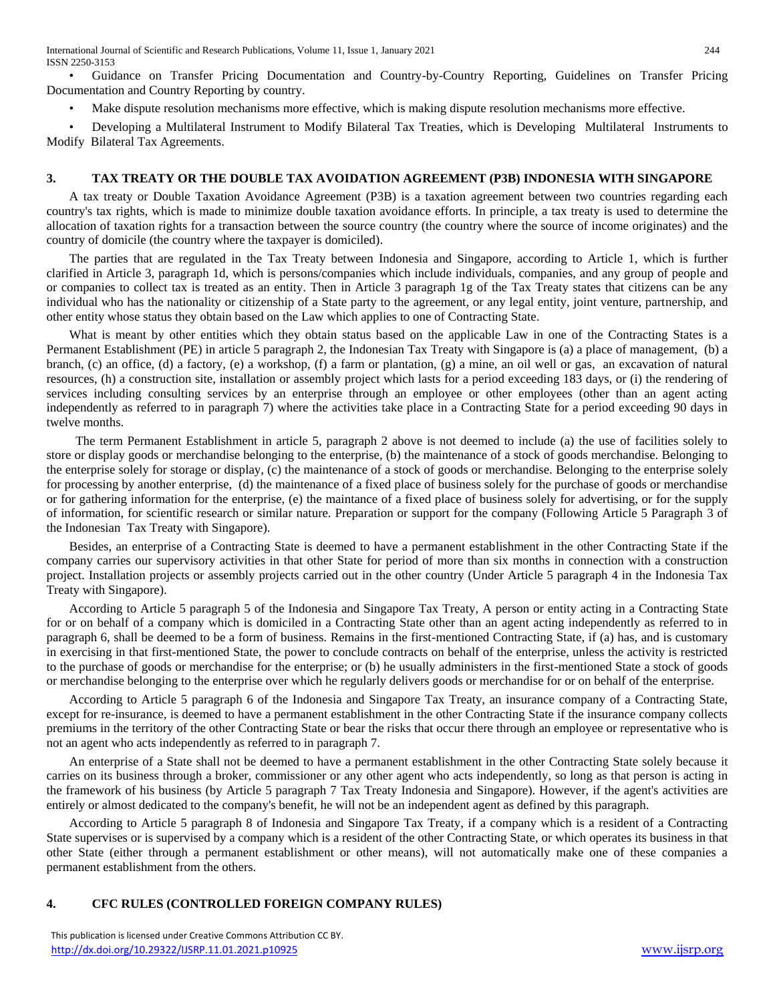• Guidance on Transfer Pricing Documentation and Country-by-Country Reporting, Guidelines on Transfer Pricing Documentation and Country Reporting by country.

• Make dispute resolution mechanisms more effective, which is making dispute resolution mechanisms more effective.

• Developing a Multilateral Instrument to Modify Bilateral Tax Treaties, which is Developing Multilateral Instruments to Modify Bilateral Tax Agreements.

### **3. TAX TREATY OR THE DOUBLE TAX AVOIDATION AGREEMENT (P3B) INDONESIA WITH SINGAPORE**

A tax treaty or Double Taxation Avoidance Agreement (P3B) is a taxation agreement between two countries regarding each country's tax rights, which is made to minimize double taxation avoidance efforts. In principle, a tax treaty is used to determine the allocation of taxation rights for a transaction between the source country (the country where the source of income originates) and the country of domicile (the country where the taxpayer is domiciled).

The parties that are regulated in the Tax Treaty between Indonesia and Singapore, according to Article 1, which is further clarified in Article 3, paragraph 1d, which is persons/companies which include individuals, companies, and any group of people and or companies to collect tax is treated as an entity. Then in Article 3 paragraph 1g of the Tax Treaty states that citizens can be any individual who has the nationality or citizenship of a State party to the agreement, or any legal entity, joint venture, partnership, and other entity whose status they obtain based on the Law which applies to one of Contracting State.

What is meant by other entities which they obtain status based on the applicable Law in one of the Contracting States is a Permanent Establishment (PE) in article 5 paragraph 2, the Indonesian Tax Treaty with Singapore is (a) a place of management, (b) a branch, (c) an office, (d) a factory, (e) a workshop, (f) a farm or plantation, (g) a mine, an oil well or gas, an excavation of natural resources, (h) a construction site, installation or assembly project which lasts for a period exceeding 183 days, or (i) the rendering of services including consulting services by an enterprise through an employee or other employees (other than an agent acting independently as referred to in paragraph 7) where the activities take place in a Contracting State for a period exceeding 90 days in twelve months.

 The term Permanent Establishment in article 5, paragraph 2 above is not deemed to include (a) the use of facilities solely to store or display goods or merchandise belonging to the enterprise, (b) the maintenance of a stock of goods merchandise. Belonging to the enterprise solely for storage or display, (c) the maintenance of a stock of goods or merchandise. Belonging to the enterprise solely for processing by another enterprise, (d) the maintenance of a fixed place of business solely for the purchase of goods or merchandise or for gathering information for the enterprise, (e) the maintance of a fixed place of business solely for advertising, or for the supply of information, for scientific research or similar nature. Preparation or support for the company (Following Article 5 Paragraph 3 of the Indonesian Tax Treaty with Singapore).

Besides, an enterprise of a Contracting State is deemed to have a permanent establishment in the other Contracting State if the company carries our supervisory activities in that other State for period of more than six months in connection with a construction project. Installation projects or assembly projects carried out in the other country (Under Article 5 paragraph 4 in the Indonesia Tax Treaty with Singapore).

According to Article 5 paragraph 5 of the Indonesia and Singapore Tax Treaty, A person or entity acting in a Contracting State for or on behalf of a company which is domiciled in a Contracting State other than an agent acting independently as referred to in paragraph 6, shall be deemed to be a form of business. Remains in the first-mentioned Contracting State, if (a) has, and is customary in exercising in that first-mentioned State, the power to conclude contracts on behalf of the enterprise, unless the activity is restricted to the purchase of goods or merchandise for the enterprise; or (b) he usually administers in the first-mentioned State a stock of goods or merchandise belonging to the enterprise over which he regularly delivers goods or merchandise for or on behalf of the enterprise.

According to Article 5 paragraph 6 of the Indonesia and Singapore Tax Treaty, an insurance company of a Contracting State, except for re-insurance, is deemed to have a permanent establishment in the other Contracting State if the insurance company collects premiums in the territory of the other Contracting State or bear the risks that occur there through an employee or representative who is not an agent who acts independently as referred to in paragraph 7.

An enterprise of a State shall not be deemed to have a permanent establishment in the other Contracting State solely because it carries on its business through a broker, commissioner or any other agent who acts independently, so long as that person is acting in the framework of his business (by Article 5 paragraph 7 Tax Treaty Indonesia and Singapore). However, if the agent's activities are entirely or almost dedicated to the company's benefit, he will not be an independent agent as defined by this paragraph.

According to Article 5 paragraph 8 of Indonesia and Singapore Tax Treaty, if a company which is a resident of a Contracting State supervises or is supervised by a company which is a resident of the other Contracting State, or which operates its business in that other State (either through a permanent establishment or other means), will not automatically make one of these companies a permanent establishment from the others.

# **4. CFC RULES (CONTROLLED FOREIGN COMPANY RULES)**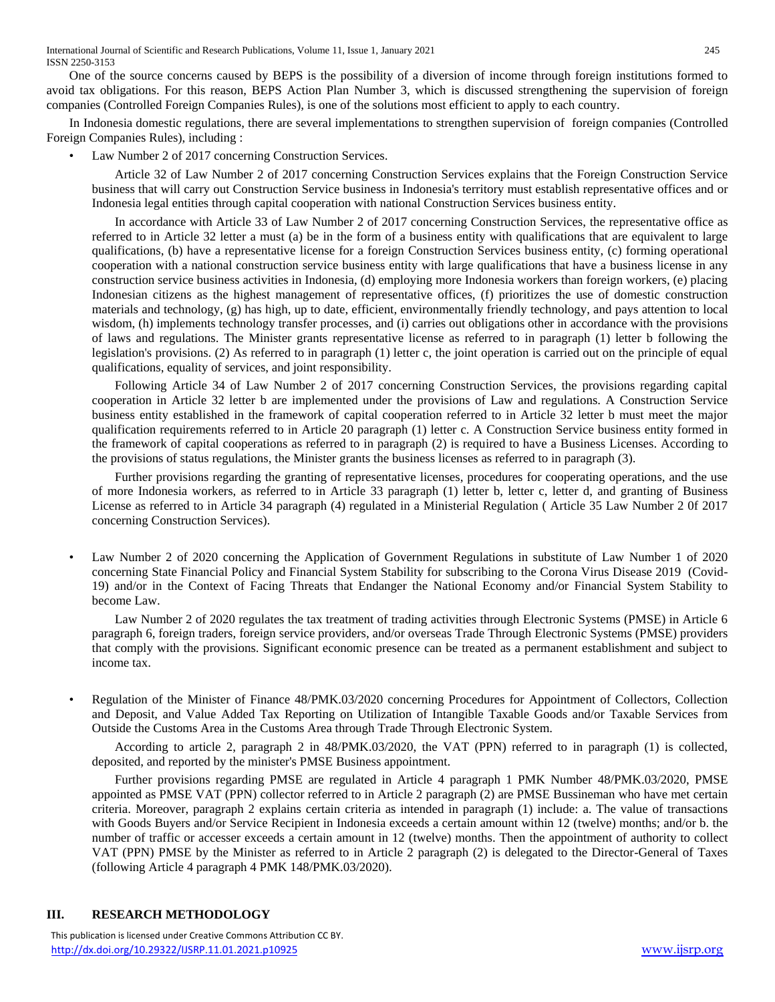International Journal of Scientific and Research Publications, Volume 11, Issue 1, January 2021 245 ISSN 2250-3153

One of the source concerns caused by BEPS is the possibility of a diversion of income through foreign institutions formed to avoid tax obligations. For this reason, BEPS Action Plan Number 3, which is discussed strengthening the supervision of foreign companies (Controlled Foreign Companies Rules), is one of the solutions most efficient to apply to each country.

In Indonesia domestic regulations, there are several implementations to strengthen supervision of foreign companies (Controlled Foreign Companies Rules), including :

Law Number 2 of 2017 concerning Construction Services.

Article 32 of Law Number 2 of 2017 concerning Construction Services explains that the Foreign Construction Service business that will carry out Construction Service business in Indonesia's territory must establish representative offices and or Indonesia legal entities through capital cooperation with national Construction Services business entity.

In accordance with Article 33 of Law Number 2 of 2017 concerning Construction Services, the representative office as referred to in Article 32 letter a must (a) be in the form of a business entity with qualifications that are equivalent to large qualifications, (b) have a representative license for a foreign Construction Services business entity, (c) forming operational cooperation with a national construction service business entity with large qualifications that have a business license in any construction service business activities in Indonesia, (d) employing more Indonesia workers than foreign workers, (e) placing Indonesian citizens as the highest management of representative offices, (f) prioritizes the use of domestic construction materials and technology, (g) has high, up to date, efficient, environmentally friendly technology, and pays attention to local wisdom, (h) implements technology transfer processes, and (i) carries out obligations other in accordance with the provisions of laws and regulations. The Minister grants representative license as referred to in paragraph (1) letter b following the legislation's provisions. (2) As referred to in paragraph (1) letter c, the joint operation is carried out on the principle of equal qualifications, equality of services, and joint responsibility.

Following Article 34 of Law Number 2 of 2017 concerning Construction Services, the provisions regarding capital cooperation in Article 32 letter b are implemented under the provisions of Law and regulations. A Construction Service business entity established in the framework of capital cooperation referred to in Article 32 letter b must meet the major qualification requirements referred to in Article 20 paragraph (1) letter c. A Construction Service business entity formed in the framework of capital cooperations as referred to in paragraph (2) is required to have a Business Licenses. According to the provisions of status regulations, the Minister grants the business licenses as referred to in paragraph (3).

Further provisions regarding the granting of representative licenses, procedures for cooperating operations, and the use of more Indonesia workers, as referred to in Article 33 paragraph (1) letter b, letter c, letter d, and granting of Business License as referred to in Article 34 paragraph (4) regulated in a Ministerial Regulation ( Article 35 Law Number 2 0f 2017 concerning Construction Services).

• Law Number 2 of 2020 concerning the Application of Government Regulations in substitute of Law Number 1 of 2020 concerning State Financial Policy and Financial System Stability for subscribing to the Corona Virus Disease 2019 (Covid-19) and/or in the Context of Facing Threats that Endanger the National Economy and/or Financial System Stability to become Law.

Law Number 2 of 2020 regulates the tax treatment of trading activities through Electronic Systems (PMSE) in Article 6 paragraph 6, foreign traders, foreign service providers, and/or overseas Trade Through Electronic Systems (PMSE) providers that comply with the provisions. Significant economic presence can be treated as a permanent establishment and subject to income tax.

• Regulation of the Minister of Finance 48/PMK.03/2020 concerning Procedures for Appointment of Collectors, Collection and Deposit, and Value Added Tax Reporting on Utilization of Intangible Taxable Goods and/or Taxable Services from Outside the Customs Area in the Customs Area through Trade Through Electronic System.

According to article 2, paragraph 2 in 48/PMK.03/2020, the VAT (PPN) referred to in paragraph (1) is collected, deposited, and reported by the minister's PMSE Business appointment.

Further provisions regarding PMSE are regulated in Article 4 paragraph 1 PMK Number 48/PMK.03/2020, PMSE appointed as PMSE VAT (PPN) collector referred to in Article 2 paragraph (2) are PMSE Bussineman who have met certain criteria. Moreover, paragraph 2 explains certain criteria as intended in paragraph (1) include: a. The value of transactions with Goods Buyers and/or Service Recipient in Indonesia exceeds a certain amount within 12 (twelve) months; and/or b. the number of traffic or accesser exceeds a certain amount in 12 (twelve) months. Then the appointment of authority to collect VAT (PPN) PMSE by the Minister as referred to in Article 2 paragraph (2) is delegated to the Director-General of Taxes (following Article 4 paragraph 4 PMK 148/PMK.03/2020).

#### **III. RESEARCH METHODOLOGY**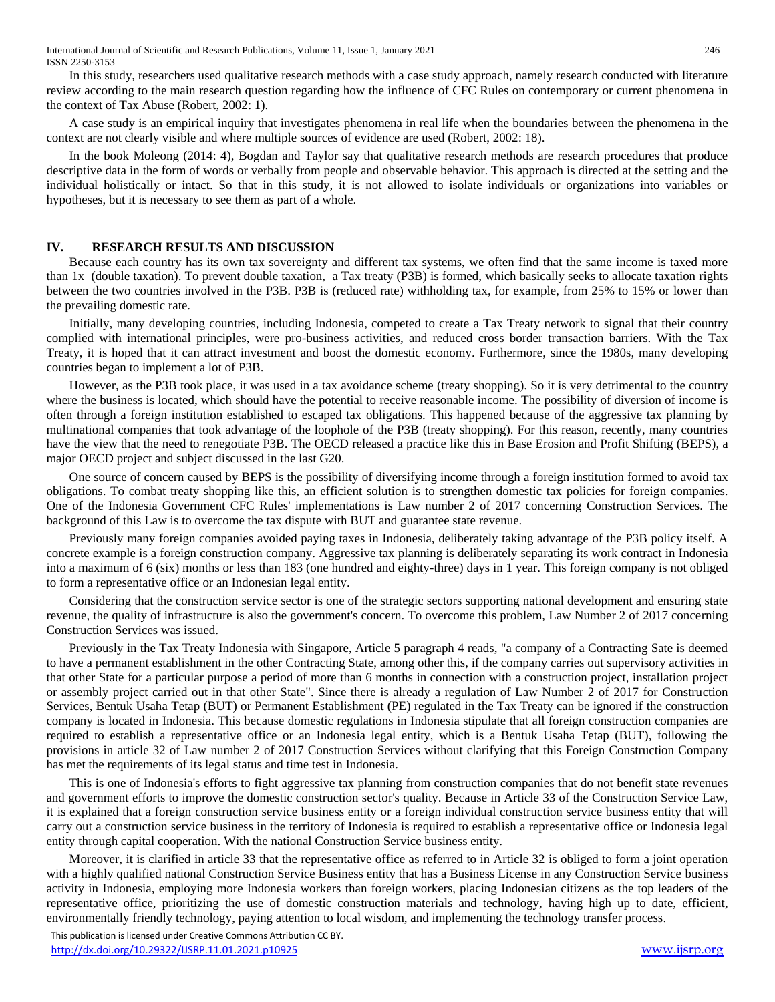In this study, researchers used qualitative research methods with a case study approach, namely research conducted with literature review according to the main research question regarding how the influence of CFC Rules on contemporary or current phenomena in the context of Tax Abuse (Robert, 2002: 1).

A case study is an empirical inquiry that investigates phenomena in real life when the boundaries between the phenomena in the context are not clearly visible and where multiple sources of evidence are used (Robert, 2002: 18).

In the book Moleong (2014: 4), Bogdan and Taylor say that qualitative research methods are research procedures that produce descriptive data in the form of words or verbally from people and observable behavior. This approach is directed at the setting and the individual holistically or intact. So that in this study, it is not allowed to isolate individuals or organizations into variables or hypotheses, but it is necessary to see them as part of a whole.

#### **IV. RESEARCH RESULTS AND DISCUSSION**

Because each country has its own tax sovereignty and different tax systems, we often find that the same income is taxed more than 1x (double taxation). To prevent double taxation, a Tax treaty (P3B) is formed, which basically seeks to allocate taxation rights between the two countries involved in the P3B. P3B is (reduced rate) withholding tax, for example, from 25% to 15% or lower than the prevailing domestic rate.

Initially, many developing countries, including Indonesia, competed to create a Tax Treaty network to signal that their country complied with international principles, were pro-business activities, and reduced cross border transaction barriers. With the Tax Treaty, it is hoped that it can attract investment and boost the domestic economy. Furthermore, since the 1980s, many developing countries began to implement a lot of P3B.

However, as the P3B took place, it was used in a tax avoidance scheme (treaty shopping). So it is very detrimental to the country where the business is located, which should have the potential to receive reasonable income. The possibility of diversion of income is often through a foreign institution established to escaped tax obligations. This happened because of the aggressive tax planning by multinational companies that took advantage of the loophole of the P3B (treaty shopping). For this reason, recently, many countries have the view that the need to renegotiate P3B. The OECD released a practice like this in Base Erosion and Profit Shifting (BEPS), a major OECD project and subject discussed in the last G20.

One source of concern caused by BEPS is the possibility of diversifying income through a foreign institution formed to avoid tax obligations. To combat treaty shopping like this, an efficient solution is to strengthen domestic tax policies for foreign companies. One of the Indonesia Government CFC Rules' implementations is Law number 2 of 2017 concerning Construction Services. The background of this Law is to overcome the tax dispute with BUT and guarantee state revenue.

Previously many foreign companies avoided paying taxes in Indonesia, deliberately taking advantage of the P3B policy itself. A concrete example is a foreign construction company. Aggressive tax planning is deliberately separating its work contract in Indonesia into a maximum of 6 (six) months or less than 183 (one hundred and eighty-three) days in 1 year. This foreign company is not obliged to form a representative office or an Indonesian legal entity.

Considering that the construction service sector is one of the strategic sectors supporting national development and ensuring state revenue, the quality of infrastructure is also the government's concern. To overcome this problem, Law Number 2 of 2017 concerning Construction Services was issued.

Previously in the Tax Treaty Indonesia with Singapore, Article 5 paragraph 4 reads, "a company of a Contracting Sate is deemed to have a permanent establishment in the other Contracting State, among other this, if the company carries out supervisory activities in that other State for a particular purpose a period of more than 6 months in connection with a construction project, installation project or assembly project carried out in that other State". Since there is already a regulation of Law Number 2 of 2017 for Construction Services, Bentuk Usaha Tetap (BUT) or Permanent Establishment (PE) regulated in the Tax Treaty can be ignored if the construction company is located in Indonesia. This because domestic regulations in Indonesia stipulate that all foreign construction companies are required to establish a representative office or an Indonesia legal entity, which is a Bentuk Usaha Tetap (BUT), following the provisions in article 32 of Law number 2 of 2017 Construction Services without clarifying that this Foreign Construction Company has met the requirements of its legal status and time test in Indonesia.

This is one of Indonesia's efforts to fight aggressive tax planning from construction companies that do not benefit state revenues and government efforts to improve the domestic construction sector's quality. Because in Article 33 of the Construction Service Law, it is explained that a foreign construction service business entity or a foreign individual construction service business entity that will carry out a construction service business in the territory of Indonesia is required to establish a representative office or Indonesia legal entity through capital cooperation. With the national Construction Service business entity.

Moreover, it is clarified in article 33 that the representative office as referred to in Article 32 is obliged to form a joint operation with a highly qualified national Construction Service Business entity that has a Business License in any Construction Service business activity in Indonesia, employing more Indonesia workers than foreign workers, placing Indonesian citizens as the top leaders of the representative office, prioritizing the use of domestic construction materials and technology, having high up to date, efficient, environmentally friendly technology, paying attention to local wisdom, and implementing the technology transfer process.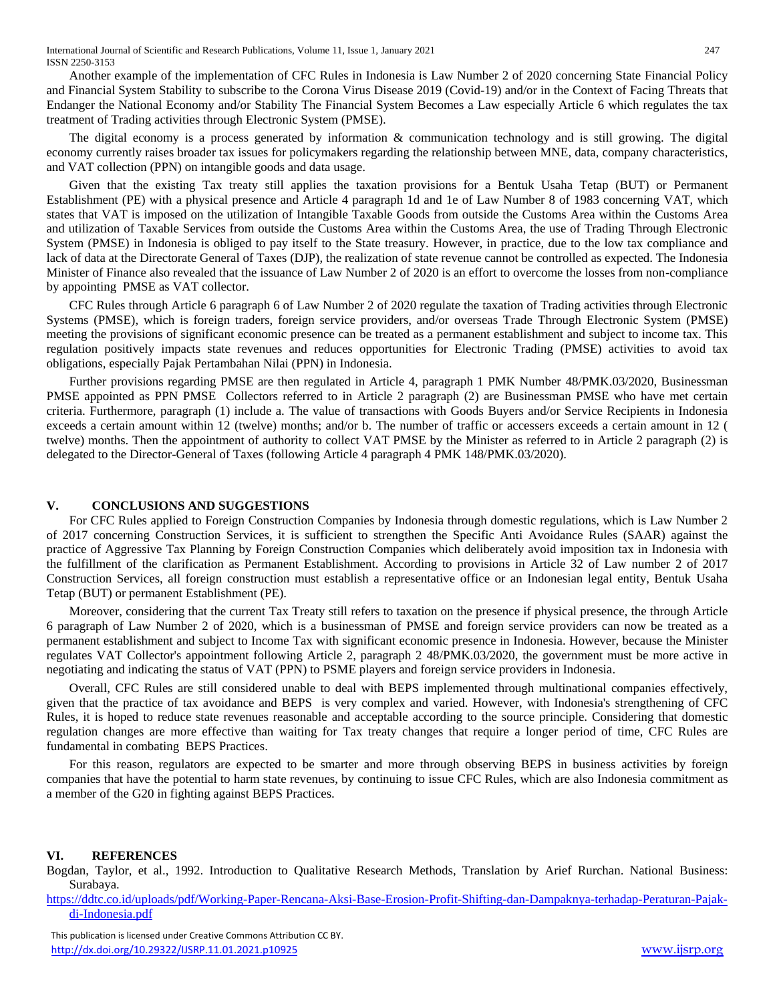Another example of the implementation of CFC Rules in Indonesia is Law Number 2 of 2020 concerning State Financial Policy and Financial System Stability to subscribe to the Corona Virus Disease 2019 (Covid-19) and/or in the Context of Facing Threats that Endanger the National Economy and/or Stability The Financial System Becomes a Law especially Article 6 which regulates the tax treatment of Trading activities through Electronic System (PMSE).

The digital economy is a process generated by information & communication technology and is still growing. The digital economy currently raises broader tax issues for policymakers regarding the relationship between MNE, data, company characteristics, and VAT collection (PPN) on intangible goods and data usage.

Given that the existing Tax treaty still applies the taxation provisions for a Bentuk Usaha Tetap (BUT) or Permanent Establishment (PE) with a physical presence and Article 4 paragraph 1d and 1e of Law Number 8 of 1983 concerning VAT, which states that VAT is imposed on the utilization of Intangible Taxable Goods from outside the Customs Area within the Customs Area and utilization of Taxable Services from outside the Customs Area within the Customs Area, the use of Trading Through Electronic System (PMSE) in Indonesia is obliged to pay itself to the State treasury. However, in practice, due to the low tax compliance and lack of data at the Directorate General of Taxes (DJP), the realization of state revenue cannot be controlled as expected. The Indonesia Minister of Finance also revealed that the issuance of Law Number 2 of 2020 is an effort to overcome the losses from non-compliance by appointing PMSE as VAT collector.

CFC Rules through Article 6 paragraph 6 of Law Number 2 of 2020 regulate the taxation of Trading activities through Electronic Systems (PMSE), which is foreign traders, foreign service providers, and/or overseas Trade Through Electronic System (PMSE) meeting the provisions of significant economic presence can be treated as a permanent establishment and subject to income tax. This regulation positively impacts state revenues and reduces opportunities for Electronic Trading (PMSE) activities to avoid tax obligations, especially Pajak Pertambahan Nilai (PPN) in Indonesia.

Further provisions regarding PMSE are then regulated in Article 4, paragraph 1 PMK Number 48/PMK.03/2020, Businessman PMSE appointed as PPN PMSE Collectors referred to in Article 2 paragraph (2) are Businessman PMSE who have met certain criteria. Furthermore, paragraph (1) include a. The value of transactions with Goods Buyers and/or Service Recipients in Indonesia exceeds a certain amount within 12 (twelve) months; and/or b. The number of traffic or accessers exceeds a certain amount in 12 ( twelve) months. Then the appointment of authority to collect VAT PMSE by the Minister as referred to in Article 2 paragraph (2) is delegated to the Director-General of Taxes (following Article 4 paragraph 4 PMK 148/PMK.03/2020).

#### **V. CONCLUSIONS AND SUGGESTIONS**

For CFC Rules applied to Foreign Construction Companies by Indonesia through domestic regulations, which is Law Number 2 of 2017 concerning Construction Services, it is sufficient to strengthen the Specific Anti Avoidance Rules (SAAR) against the practice of Aggressive Tax Planning by Foreign Construction Companies which deliberately avoid imposition tax in Indonesia with the fulfillment of the clarification as Permanent Establishment. According to provisions in Article 32 of Law number 2 of 2017 Construction Services, all foreign construction must establish a representative office or an Indonesian legal entity, Bentuk Usaha Tetap (BUT) or permanent Establishment (PE).

Moreover, considering that the current Tax Treaty still refers to taxation on the presence if physical presence, the through Article 6 paragraph of Law Number 2 of 2020, which is a businessman of PMSE and foreign service providers can now be treated as a permanent establishment and subject to Income Tax with significant economic presence in Indonesia. However, because the Minister regulates VAT Collector's appointment following Article 2, paragraph 2 48/PMK.03/2020, the government must be more active in negotiating and indicating the status of VAT (PPN) to PSME players and foreign service providers in Indonesia.

Overall, CFC Rules are still considered unable to deal with BEPS implemented through multinational companies effectively, given that the practice of tax avoidance and BEPS is very complex and varied. However, with Indonesia's strengthening of CFC Rules, it is hoped to reduce state revenues reasonable and acceptable according to the source principle. Considering that domestic regulation changes are more effective than waiting for Tax treaty changes that require a longer period of time, CFC Rules are fundamental in combating BEPS Practices.

For this reason, regulators are expected to be smarter and more through observing BEPS in business activities by foreign companies that have the potential to harm state revenues, by continuing to issue CFC Rules, which are also Indonesia commitment as a member of the G20 in fighting against BEPS Practices.

#### **VI. REFERENCES**

Bogdan, Taylor, et al., 1992. Introduction to Qualitative Research Methods, Translation by Arief Rurchan. National Business: Surabaya.

[https://ddtc.co.id/uploads/pdf/Working-Paper-Rencana-Aksi-Base-Erosion-Profit-Shifting-dan-Dampaknya-terhadap-Peraturan-Pajak](https://ddtc.co.id/uploads/pdf/Working-Paper-Rencana-Aksi-Base-Erosion-Profit-Shifting-dan-Dampaknya-terhadap-Peraturan-Pajak-di-Indonesia.pdf)[di-Indonesia.pdf](https://ddtc.co.id/uploads/pdf/Working-Paper-Rencana-Aksi-Base-Erosion-Profit-Shifting-dan-Dampaknya-terhadap-Peraturan-Pajak-di-Indonesia.pdf)

 This publication is licensed under Creative Commons Attribution CC BY. <http://dx.doi.org/10.29322/IJSRP.11.01.2021.p10925> [www.ijsrp.org](http://ijsrp.org/)